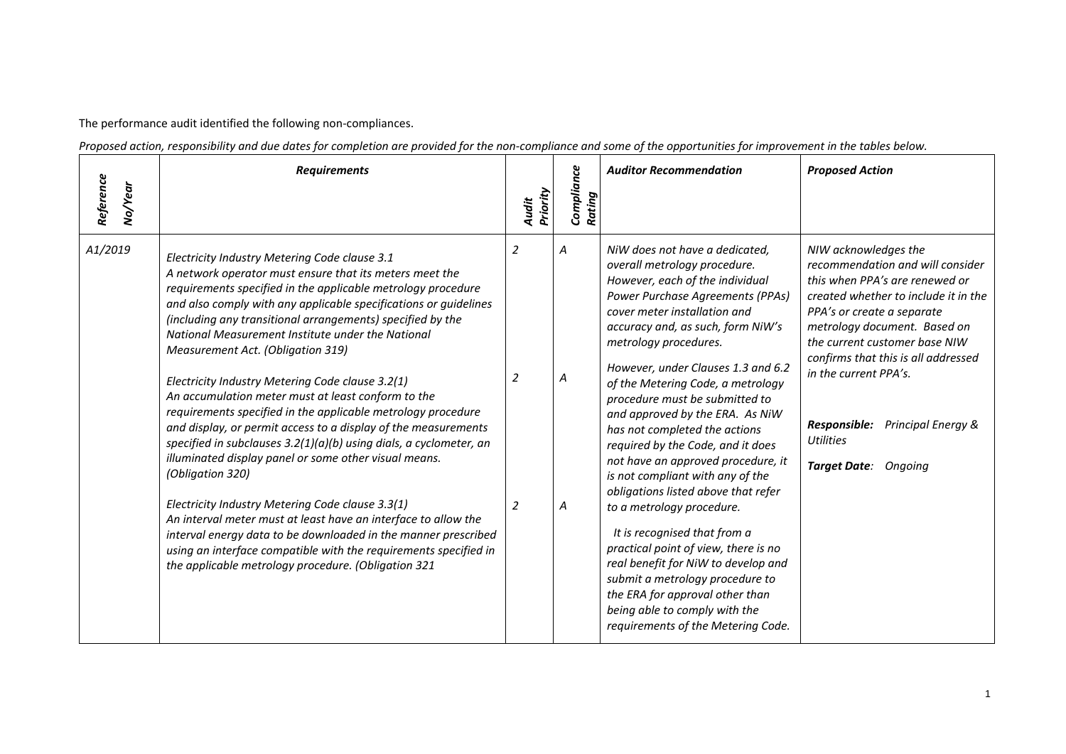The performance audit identified the following non-compliances.

*Proposed action, responsibility and due dates for completion are provided for the non-compliance and some of the opportunities for improvement in the tables below.*

| Reference | <b>Requirements</b>                                                                                                                                                                                                                                                                                                                                                                                                                                                                                                                                                                                                                                                                                                                                                                                                                                                                                                                                                                                                                                                                                                    |                   | Compliance  | <b>Auditor Recommendation</b>                                                                                                                                                                                                                                                                                                                                                                                                                                                                                                                                                                                                                                                                                                                                                                                                 | <b>Proposed Action</b>                                                                                                                                                                                                                                                                                                                                                              |
|-----------|------------------------------------------------------------------------------------------------------------------------------------------------------------------------------------------------------------------------------------------------------------------------------------------------------------------------------------------------------------------------------------------------------------------------------------------------------------------------------------------------------------------------------------------------------------------------------------------------------------------------------------------------------------------------------------------------------------------------------------------------------------------------------------------------------------------------------------------------------------------------------------------------------------------------------------------------------------------------------------------------------------------------------------------------------------------------------------------------------------------------|-------------------|-------------|-------------------------------------------------------------------------------------------------------------------------------------------------------------------------------------------------------------------------------------------------------------------------------------------------------------------------------------------------------------------------------------------------------------------------------------------------------------------------------------------------------------------------------------------------------------------------------------------------------------------------------------------------------------------------------------------------------------------------------------------------------------------------------------------------------------------------------|-------------------------------------------------------------------------------------------------------------------------------------------------------------------------------------------------------------------------------------------------------------------------------------------------------------------------------------------------------------------------------------|
| No/Year   |                                                                                                                                                                                                                                                                                                                                                                                                                                                                                                                                                                                                                                                                                                                                                                                                                                                                                                                                                                                                                                                                                                                        | Priority<br>Audit | Rating      |                                                                                                                                                                                                                                                                                                                                                                                                                                                                                                                                                                                                                                                                                                                                                                                                                               |                                                                                                                                                                                                                                                                                                                                                                                     |
| A1/2019   | Electricity Industry Metering Code clause 3.1<br>A network operator must ensure that its meters meet the<br>requirements specified in the applicable metrology procedure<br>and also comply with any applicable specifications or guidelines<br>(including any transitional arrangements) specified by the<br>National Measurement Institute under the National<br>Measurement Act. (Obligation 319)<br>Electricity Industry Metering Code clause 3.2(1)<br>An accumulation meter must at least conform to the<br>requirements specified in the applicable metrology procedure<br>and display, or permit access to a display of the measurements<br>specified in subclauses 3.2(1)(a)(b) using dials, a cyclometer, an<br>illuminated display panel or some other visual means.<br>(Obligation 320)<br>Electricity Industry Metering Code clause 3.3(1)<br>An interval meter must at least have an interface to allow the<br>interval energy data to be downloaded in the manner prescribed<br>using an interface compatible with the requirements specified in<br>the applicable metrology procedure. (Obligation 321 | 2<br>2<br>2       | Α<br>Α<br>A | NiW does not have a dedicated,<br>overall metrology procedure.<br>However, each of the individual<br>Power Purchase Agreements (PPAs)<br>cover meter installation and<br>accuracy and, as such, form NiW's<br>metrology procedures.<br>However, under Clauses 1.3 and 6.2<br>of the Metering Code, a metrology<br>procedure must be submitted to<br>and approved by the ERA. As NiW<br>has not completed the actions<br>required by the Code, and it does<br>not have an approved procedure, it<br>is not compliant with any of the<br>obligations listed above that refer<br>to a metrology procedure.<br>It is recognised that from a<br>practical point of view, there is no<br>real benefit for NiW to develop and<br>submit a metrology procedure to<br>the ERA for approval other than<br>being able to comply with the | NIW acknowledges the<br>recommendation and will consider<br>this when PPA's are renewed or<br>created whether to include it in the<br>PPA's or create a separate<br>metrology document. Based on<br>the current customer base NIW<br>confirms that this is all addressed<br>in the current PPA's.<br>Responsible:<br>Principal Energy &<br><b>Utilities</b><br>Target Date: Ongoing |
|           |                                                                                                                                                                                                                                                                                                                                                                                                                                                                                                                                                                                                                                                                                                                                                                                                                                                                                                                                                                                                                                                                                                                        |                   |             | requirements of the Metering Code.                                                                                                                                                                                                                                                                                                                                                                                                                                                                                                                                                                                                                                                                                                                                                                                            |                                                                                                                                                                                                                                                                                                                                                                                     |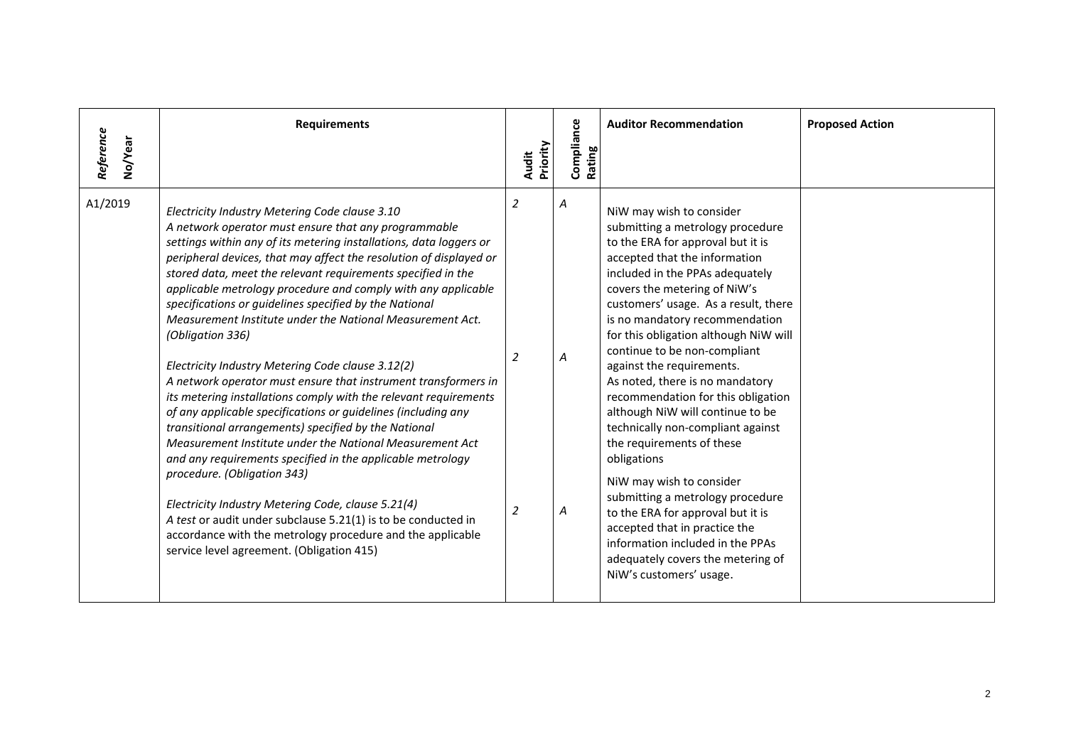| Reference<br>No/Year | <b>Requirements</b>                                                                                                                                                                                                                                                                                                                                                                                                                                                                                                                                                                                                                                                                                                                                                                                                                                                                                                                                                                                                                                                                                                                                                                                                                           | Priority<br>Audit | Compliance<br>Rating | <b>Auditor Recommendation</b>                                                                                                                                                                                                                                                                                                                                                                                                                                                                                                                                                                                                                                                                                                                                                                                                 | <b>Proposed Action</b> |
|----------------------|-----------------------------------------------------------------------------------------------------------------------------------------------------------------------------------------------------------------------------------------------------------------------------------------------------------------------------------------------------------------------------------------------------------------------------------------------------------------------------------------------------------------------------------------------------------------------------------------------------------------------------------------------------------------------------------------------------------------------------------------------------------------------------------------------------------------------------------------------------------------------------------------------------------------------------------------------------------------------------------------------------------------------------------------------------------------------------------------------------------------------------------------------------------------------------------------------------------------------------------------------|-------------------|----------------------|-------------------------------------------------------------------------------------------------------------------------------------------------------------------------------------------------------------------------------------------------------------------------------------------------------------------------------------------------------------------------------------------------------------------------------------------------------------------------------------------------------------------------------------------------------------------------------------------------------------------------------------------------------------------------------------------------------------------------------------------------------------------------------------------------------------------------------|------------------------|
| A1/2019              | Electricity Industry Metering Code clause 3.10<br>A network operator must ensure that any programmable<br>settings within any of its metering installations, data loggers or<br>peripheral devices, that may affect the resolution of displayed or<br>stored data, meet the relevant requirements specified in the<br>applicable metrology procedure and comply with any applicable<br>specifications or guidelines specified by the National<br>Measurement Institute under the National Measurement Act.<br>(Obligation 336)<br>Electricity Industry Metering Code clause 3.12(2)<br>A network operator must ensure that instrument transformers in<br>its metering installations comply with the relevant requirements<br>of any applicable specifications or guidelines (including any<br>transitional arrangements) specified by the National<br>Measurement Institute under the National Measurement Act<br>and any requirements specified in the applicable metrology<br>procedure. (Obligation 343)<br>Electricity Industry Metering Code, clause 5.21(4)<br>A test or audit under subclause 5.21(1) is to be conducted in<br>accordance with the metrology procedure and the applicable<br>service level agreement. (Obligation 415) | 2<br>2<br>2       | Α<br>Α<br>Α          | NiW may wish to consider<br>submitting a metrology procedure<br>to the ERA for approval but it is<br>accepted that the information<br>included in the PPAs adequately<br>covers the metering of NiW's<br>customers' usage. As a result, there<br>is no mandatory recommendation<br>for this obligation although NiW will<br>continue to be non-compliant<br>against the requirements.<br>As noted, there is no mandatory<br>recommendation for this obligation<br>although NiW will continue to be<br>technically non-compliant against<br>the requirements of these<br>obligations<br>NiW may wish to consider<br>submitting a metrology procedure<br>to the ERA for approval but it is<br>accepted that in practice the<br>information included in the PPAs<br>adequately covers the metering of<br>NiW's customers' usage. |                        |